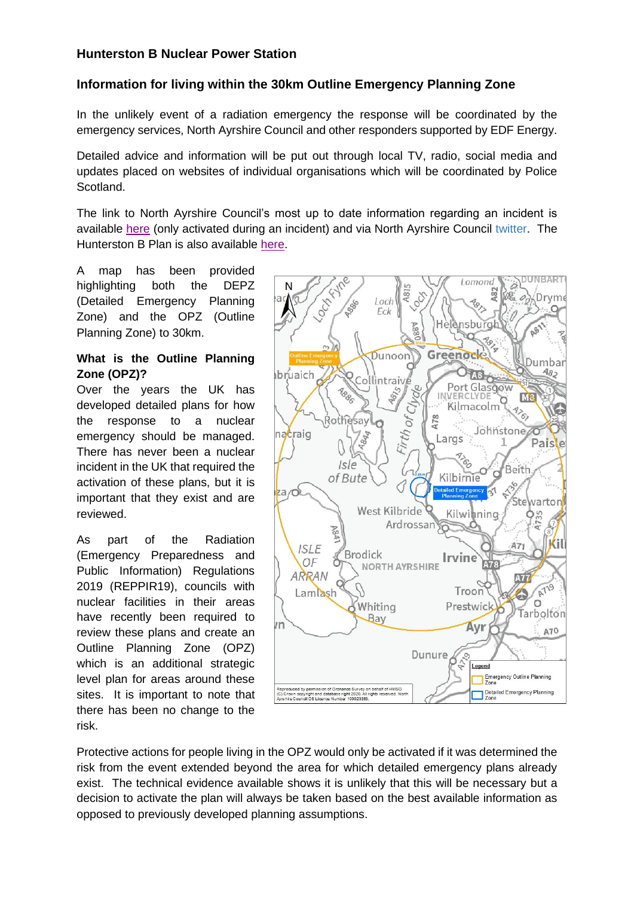## **Hunterston B Nuclear Power Station**

# **Information for living within the 30km Outline Emergency Planning Zone**

In the unlikely event of a radiation emergency the response will be coordinated by the emergency services, North Ayrshire Council and other responders supported by EDF Energy.

Detailed advice and information will be put out through local TV, radio, social media and updates placed on websites of individual organisations which will be coordinated by Police Scotland.

The link to North Ayrshire Council's most up to date information regarding an incident is available [here](https://www.north-ayrshire.gov.uk/home.aspx) (only activated during an incident) and via North Ayrshire Council [twitter.](https://ww77.south-ayrshire.gov.uk/FCDLogin.html) The Hunterston B Plan is also available [here.](https://www.north-ayrshire.gov.uk/community-safety/emergency-planning.aspx)

A map has been provided highlighting both the DEPZ (Detailed Emergency Planning Zone) and the OPZ (Outline Planning Zone) to 30km.

#### **What is the Outline Planning Zone (OPZ)?**

Over the years the UK has developed detailed plans for how the response to a nuclear emergency should be managed. There has never been a nuclear incident in the UK that required the activation of these plans, but it is important that they exist and are reviewed.

As part of the Radiation (Emergency Preparedness and Public Information) Regulations 2019 (REPPIR19), councils with nuclear facilities in their areas have recently been required to review these plans and create an Outline Planning Zone (OPZ) which is an additional strategic level plan for areas around these sites. It is important to note that there has been no change to the risk.



Protective actions for people living in the OPZ would only be activated if it was determined the risk from the event extended beyond the area for which detailed emergency plans already exist. The technical evidence available shows it is unlikely that this will be necessary but a decision to activate the plan will always be taken based on the best available information as opposed to previously developed planning assumptions.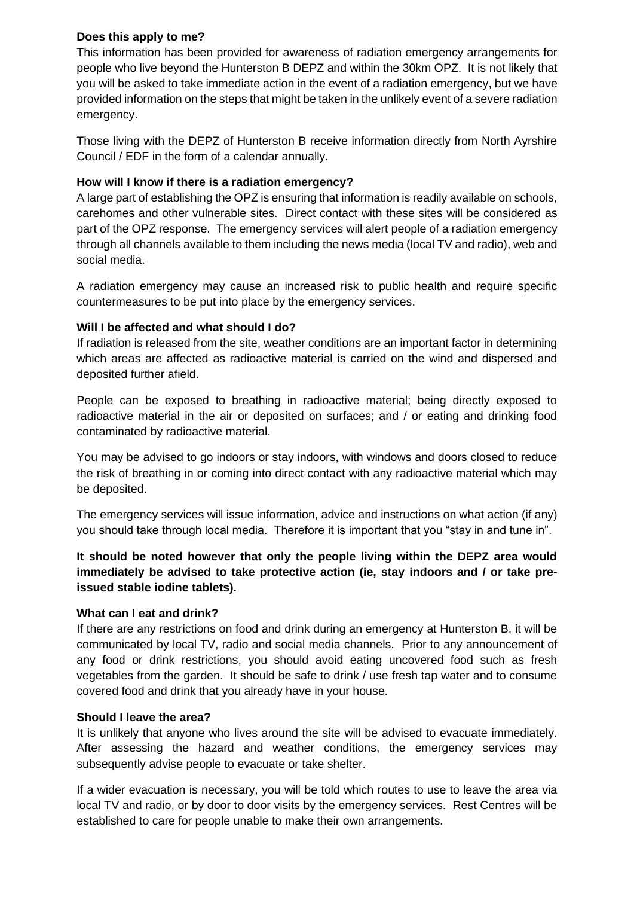## **Does this apply to me?**

This information has been provided for awareness of radiation emergency arrangements for people who live beyond the Hunterston B DEPZ and within the 30km OPZ. It is not likely that you will be asked to take immediate action in the event of a radiation emergency, but we have provided information on the steps that might be taken in the unlikely event of a severe radiation emergency.

Those living with the DEPZ of Hunterston B receive information directly from North Ayrshire Council / EDF in the form of a calendar annually.

## **How will I know if there is a radiation emergency?**

A large part of establishing the OPZ is ensuring that information is readily available on schools, carehomes and other vulnerable sites. Direct contact with these sites will be considered as part of the OPZ response. The emergency services will alert people of a radiation emergency through all channels available to them including the news media (local TV and radio), web and social media.

A radiation emergency may cause an increased risk to public health and require specific countermeasures to be put into place by the emergency services.

## **Will I be affected and what should I do?**

If radiation is released from the site, weather conditions are an important factor in determining which areas are affected as radioactive material is carried on the wind and dispersed and deposited further afield.

People can be exposed to breathing in radioactive material; being directly exposed to radioactive material in the air or deposited on surfaces; and / or eating and drinking food contaminated by radioactive material.

You may be advised to go indoors or stay indoors, with windows and doors closed to reduce the risk of breathing in or coming into direct contact with any radioactive material which may be deposited.

The emergency services will issue information, advice and instructions on what action (if any) you should take through local media. Therefore it is important that you "stay in and tune in".

**It should be noted however that only the people living within the DEPZ area would immediately be advised to take protective action (ie, stay indoors and / or take preissued stable iodine tablets).**

#### **What can I eat and drink?**

If there are any restrictions on food and drink during an emergency at Hunterston B, it will be communicated by local TV, radio and social media channels. Prior to any announcement of any food or drink restrictions, you should avoid eating uncovered food such as fresh vegetables from the garden. It should be safe to drink / use fresh tap water and to consume covered food and drink that you already have in your house.

#### **Should I leave the area?**

It is unlikely that anyone who lives around the site will be advised to evacuate immediately. After assessing the hazard and weather conditions, the emergency services may subsequently advise people to evacuate or take shelter.

If a wider evacuation is necessary, you will be told which routes to use to leave the area via local TV and radio, or by door to door visits by the emergency services. Rest Centres will be established to care for people unable to make their own arrangements.